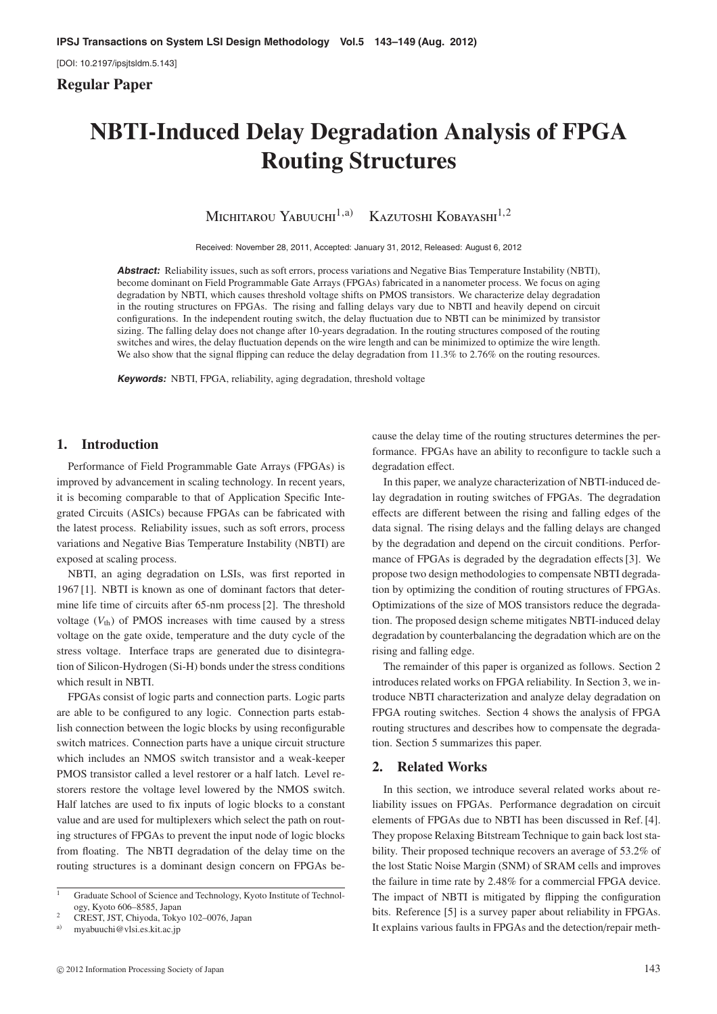[DOI: 10.2197/ipsjtsldm.5.143]

# **Regular Paper**

# **NBTI-Induced Delay Degradation Analysis of FPGA Routing Structures**

Michitarou Yabuuchi<sup>1,a)</sup> Kazutoshi Kobayashi<sup>1,2</sup>

Received: November 28, 2011, Accepted: January 31, 2012, Released: August 6, 2012

**Abstract:** Reliability issues, such as soft errors, process variations and Negative Bias Temperature Instability (NBTI), become dominant on Field Programmable Gate Arrays (FPGAs) fabricated in a nanometer process. We focus on aging degradation by NBTI, which causes threshold voltage shifts on PMOS transistors. We characterize delay degradation in the routing structures on FPGAs. The rising and falling delays vary due to NBTI and heavily depend on circuit configurations. In the independent routing switch, the delay fluctuation due to NBTI can be minimized by transistor sizing. The falling delay does not change after 10-years degradation. In the routing structures composed of the routing switches and wires, the delay fluctuation depends on the wire length and can be minimized to optimize the wire length. We also show that the signal flipping can reduce the delay degradation from 11.3% to 2.76% on the routing resources.

**Keywords:** NBTI, FPGA, reliability, aging degradation, threshold voltage

# **1. Introduction**

Performance of Field Programmable Gate Arrays (FPGAs) is improved by advancement in scaling technology. In recent years, it is becoming comparable to that of Application Specific Integrated Circuits (ASICs) because FPGAs can be fabricated with the latest process. Reliability issues, such as soft errors, process variations and Negative Bias Temperature Instability (NBTI) are exposed at scaling process.

NBTI, an aging degradation on LSIs, was first reported in 1967 [1]. NBTI is known as one of dominant factors that determine life time of circuits after 65-nm process [2]. The threshold voltage  $(V<sub>th</sub>)$  of PMOS increases with time caused by a stress voltage on the gate oxide, temperature and the duty cycle of the stress voltage. Interface traps are generated due to disintegration of Silicon-Hydrogen (Si-H) bonds under the stress conditions which result in NBTI.

FPGAs consist of logic parts and connection parts. Logic parts are able to be configured to any logic. Connection parts establish connection between the logic blocks by using reconfigurable switch matrices. Connection parts have a unique circuit structure which includes an NMOS switch transistor and a weak-keeper PMOS transistor called a level restorer or a half latch. Level restorers restore the voltage level lowered by the NMOS switch. Half latches are used to fix inputs of logic blocks to a constant value and are used for multiplexers which select the path on routing structures of FPGAs to prevent the input node of logic blocks from floating. The NBTI degradation of the delay time on the routing structures is a dominant design concern on FPGAs because the delay time of the routing structures determines the performance. FPGAs have an ability to reconfigure to tackle such a degradation effect.

In this paper, we analyze characterization of NBTI-induced delay degradation in routing switches of FPGAs. The degradation effects are different between the rising and falling edges of the data signal. The rising delays and the falling delays are changed by the degradation and depend on the circuit conditions. Performance of FPGAs is degraded by the degradation effects [3]. We propose two design methodologies to compensate NBTI degradation by optimizing the condition of routing structures of FPGAs. Optimizations of the size of MOS transistors reduce the degradation. The proposed design scheme mitigates NBTI-induced delay degradation by counterbalancing the degradation which are on the rising and falling edge.

The remainder of this paper is organized as follows. Section 2 introduces related works on FPGA reliability. In Section 3, we introduce NBTI characterization and analyze delay degradation on FPGA routing switches. Section 4 shows the analysis of FPGA routing structures and describes how to compensate the degradation. Section 5 summarizes this paper.

### **2. Related Works**

In this section, we introduce several related works about reliability issues on FPGAs. Performance degradation on circuit elements of FPGAs due to NBTI has been discussed in Ref. [4]. They propose Relaxing Bitstream Technique to gain back lost stability. Their proposed technique recovers an average of 53.2% of the lost Static Noise Margin (SNM) of SRAM cells and improves the failure in time rate by 2.48% for a commercial FPGA device. The impact of NBTI is mitigated by flipping the configuration bits. Reference [5] is a survey paper about reliability in FPGAs. It explains various faults in FPGAs and the detection/repair meth-

<sup>1</sup> Graduate School of Science and Technology, Kyoto Institute of Technology, Kyoto 606–8585, Japan

<sup>&</sup>lt;sup>2</sup> CREST, JST, Chiyoda, Tokyo 102–0076, Japan

a) myabuuchi@vlsi.es.kit.ac.jp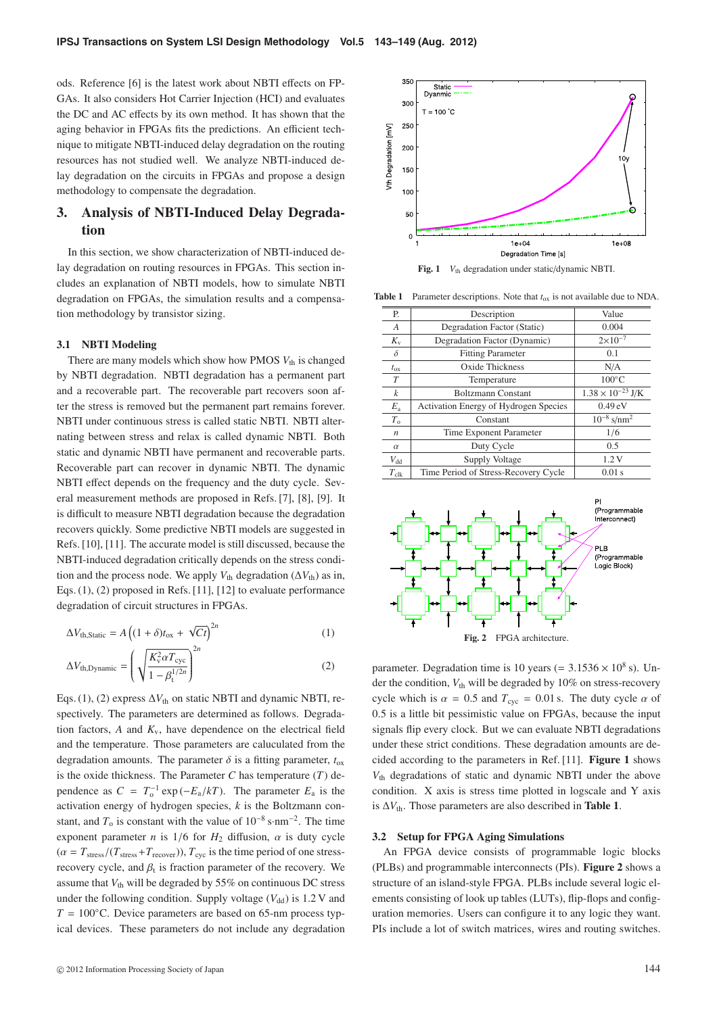ods. Reference [6] is the latest work about NBTI effects on FP-GAs. It also considers Hot Carrier Injection (HCI) and evaluates the DC and AC effects by its own method. It has shown that the aging behavior in FPGAs fits the predictions. An efficient technique to mitigate NBTI-induced delay degradation on the routing resources has not studied well. We analyze NBTI-induced delay degradation on the circuits in FPGAs and propose a design methodology to compensate the degradation.

# **3. Analysis of NBTI-Induced Delay Degradation**

In this section, we show characterization of NBTI-induced delay degradation on routing resources in FPGAs. This section includes an explanation of NBTI models, how to simulate NBTI degradation on FPGAs, the simulation results and a compensation methodology by transistor sizing.

#### **3.1 NBTI Modeling**

There are many models which show how PMOS  $V_{th}$  is changed by NBTI degradation. NBTI degradation has a permanent part and a recoverable part. The recoverable part recovers soon after the stress is removed but the permanent part remains forever. NBTI under continuous stress is called static NBTI. NBTI alternating between stress and relax is called dynamic NBTI. Both static and dynamic NBTI have permanent and recoverable parts. Recoverable part can recover in dynamic NBTI. The dynamic NBTI effect depends on the frequency and the duty cycle. Several measurement methods are proposed in Refs. [7], [8], [9]. It is difficult to measure NBTI degradation because the degradation recovers quickly. Some predictive NBTI models are suggested in Refs. [10], [11]. The accurate model is still discussed, because the NBTI-induced degradation critically depends on the stress condition and the process node. We apply  $V_{th}$  degradation ( $\Delta V_{th}$ ) as in, Eqs. (1), (2) proposed in Refs. [11], [12] to evaluate performance degradation of circuit structures in FPGAs.

$$
\Delta V_{\text{th,Static}} = A \left( (1 + \delta) t_{\text{ox}} + \sqrt{C t} \right)^{2n} \tag{1}
$$

$$
\Delta V_{\text{th,Dynamic}} = \left(\sqrt{\frac{K_{\text{v}}^2 \alpha T_{\text{cyc}}}{1 - \beta_{\text{t}}^{1/2n}}}\right)^{2n} \tag{2}
$$

Eqs. (1), (2) express  $\Delta V_{th}$  on static NBTI and dynamic NBTI, respectively. The parameters are determined as follows. Degradation factors,  $A$  and  $K_v$ , have dependence on the electrical field and the temperature. Those parameters are caluculated from the degradation amounts. The parameter  $\delta$  is a fitting parameter,  $t_{ox}$ is the oxide thickness. The Parameter  $C$  has temperature  $(T)$  dependence as  $C = T_0^{-1} \exp(-E_a/kT)$ . The parameter  $E_a$  is the activation energy of hydrogen species, *k* is the Boltzmann constant, and  $T_0$  is constant with the value of  $10^{-8}$  s·nm<sup>-2</sup>. The time exponent parameter *n* is  $1/6$  for  $H_2$  diffusion,  $\alpha$  is duty cycle  $(\alpha = T_{\text{stress}}/(T_{\text{stress}}+T_{\text{recover}}))$ ,  $T_{\text{cyc}}$  is the time period of one stressrecovery cycle, and  $\beta_t$  is fraction parameter of the recovery. We assume that  $V_{\text{th}}$  will be degraded by 55% on continuous DC stress under the following condition. Supply voltage  $(V_{dd})$  is 1.2 V and  $T = 100\degree$ C. Device parameters are based on 65-nm process typical devices. These parameters do not include any degradation



Fig. 1 *V*<sub>th</sub> degradation under static/dynamic NBTI.

**Table 1** Parameter descriptions. Note that  $t_{ox}$  is not available due to NDA.

| Р.               | Description                           | Value                       |
|------------------|---------------------------------------|-----------------------------|
| A                | Degradation Factor (Static)           | 0.004                       |
| $K_{v}$          | Degradation Factor (Dynamic)          | $2 \times 10^{-7}$          |
| $\delta$         | <b>Fitting Parameter</b>              | 0.1                         |
| $t_{\rm ox}$     | Oxide Thickness                       | N/A                         |
| T                | Temperature                           | $100^{\circ}$ C             |
| $\boldsymbol{k}$ | <b>Boltzmann Constant</b>             | $1.38 \times 10^{-23}$ J/K  |
| $E_{\rm a}$      | Activation Energy of Hydrogen Species | $0.49 \text{ eV}$           |
| $T_{0}$          | Constant                              | $10^{-8}$ s/nm <sup>2</sup> |
| n                | Time Exponent Parameter               | 1/6                         |
| $\alpha$         | Duty Cycle                            | 0.5                         |
| $V_{dd}$         | Supply Voltage                        | 1.2V                        |
| $T_{\rm{clk}}$   | Time Period of Stress-Recovery Cycle  | 0.01 s                      |



parameter. Degradation time is 10 years (=  $3.1536 \times 10^8$  s). Under the condition,  $V_{\text{th}}$  will be degraded by 10% on stress-recovery cycle which is  $\alpha = 0.5$  and  $T_{\text{cyc}} = 0.01$  s. The duty cycle  $\alpha$  of 0.5 is a little bit pessimistic value on FPGAs, because the input signals flip every clock. But we can evaluate NBTI degradations under these strict conditions. These degradation amounts are decided according to the parameters in Ref. [11]. **Figure 1** shows *V*th degradations of static and dynamic NBTI under the above condition. X axis is stress time plotted in logscale and Y axis is  $\Delta V_{\text{th}}$ . Those parameters are also described in **Table 1**.

#### **3.2 Setup for FPGA Aging Simulations**

An FPGA device consists of programmable logic blocks (PLBs) and programmable interconnects (PIs). **Figure 2** shows a structure of an island-style FPGA. PLBs include several logic elements consisting of look up tables (LUTs), flip-flops and configuration memories. Users can configure it to any logic they want. PIs include a lot of switch matrices, wires and routing switches.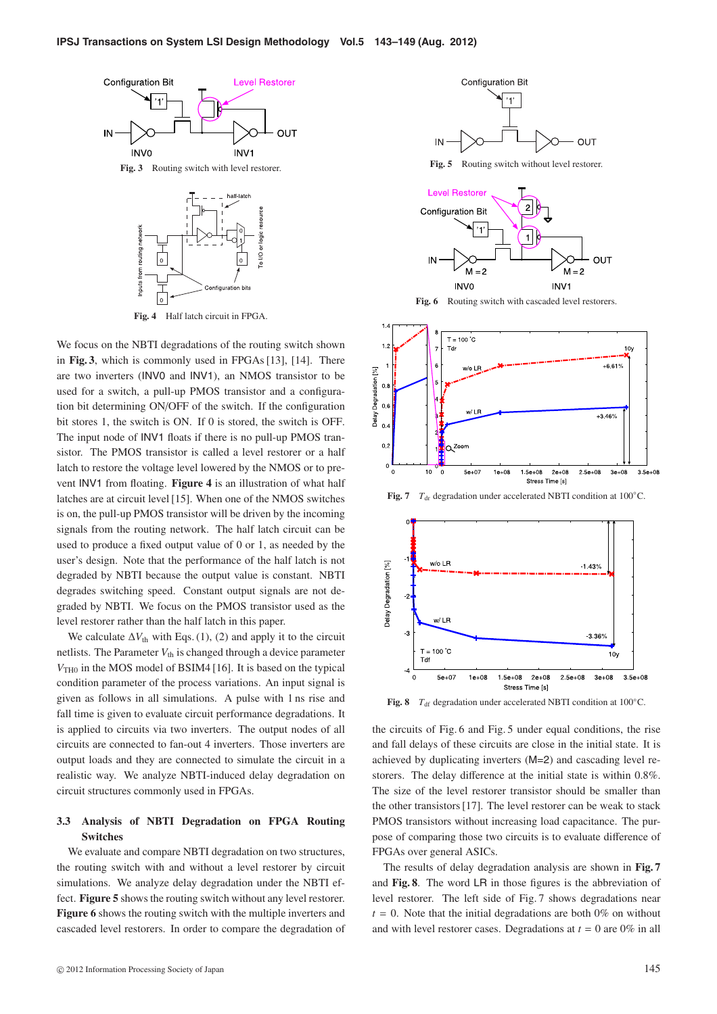

We focus on the NBTI degradations of the routing switch shown in **Fig. 3**, which is commonly used in FPGAs [13], [14]. There are two inverters (INV0 and INV1), an NMOS transistor to be used for a switch, a pull-up PMOS transistor and a configuration bit determining ON/OFF of the switch. If the configuration bit stores 1, the switch is ON. If 0 is stored, the switch is OFF. The input node of INV1 floats if there is no pull-up PMOS transistor. The PMOS transistor is called a level restorer or a half latch to restore the voltage level lowered by the NMOS or to prevent INV1 from floating. **Figure 4** is an illustration of what half latches are at circuit level [15]. When one of the NMOS switches is on, the pull-up PMOS transistor will be driven by the incoming signals from the routing network. The half latch circuit can be used to produce a fixed output value of 0 or 1, as needed by the user's design. Note that the performance of the half latch is not degraded by NBTI because the output value is constant. NBTI degrades switching speed. Constant output signals are not degraded by NBTI. We focus on the PMOS transistor used as the level restorer rather than the half latch in this paper.

We calculate  $\Delta V_{\text{th}}$  with Eqs. (1), (2) and apply it to the circuit netlists. The Parameter  $V_{th}$  is changed through a device parameter *V*<sub>TH0</sub> in the MOS model of BSIM4 [16]. It is based on the typical condition parameter of the process variations. An input signal is given as follows in all simulations. A pulse with 1 ns rise and fall time is given to evaluate circuit performance degradations. It is applied to circuits via two inverters. The output nodes of all circuits are connected to fan-out 4 inverters. Those inverters are output loads and they are connected to simulate the circuit in a realistic way. We analyze NBTI-induced delay degradation on circuit structures commonly used in FPGAs.

## **3.3 Analysis of NBTI Degradation on FPGA Routing Switches**

We evaluate and compare NBTI degradation on two structures, the routing switch with and without a level restorer by circuit simulations. We analyze delay degradation under the NBTI effect. **Figure 5** shows the routing switch without any level restorer. **Figure 6** shows the routing switch with the multiple inverters and cascaded level restorers. In order to compare the degradation of



**Fig. 5** Routing switch without level restorer.



Fig. 6 Routing switch with cascaded level restorers.



**Fig. 7**  $T_{dr}$  degradation under accelerated NBTI condition at 100 $°C$ .



**Fig. 8**  $T_{df}$  degradation under accelerated NBTI condition at 100 $^{\circ}$ C.

the circuits of Fig. 6 and Fig. 5 under equal conditions, the rise and fall delays of these circuits are close in the initial state. It is achieved by duplicating inverters (M=2) and cascading level restorers. The delay difference at the initial state is within 0.8%. The size of the level restorer transistor should be smaller than the other transistors [17]. The level restorer can be weak to stack PMOS transistors without increasing load capacitance. The purpose of comparing those two circuits is to evaluate difference of FPGAs over general ASICs.

The results of delay degradation analysis are shown in **Fig. 7** and **Fig. 8**. The word LR in those figures is the abbreviation of level restorer. The left side of Fig. 7 shows degradations near  $t = 0$ . Note that the initial degradations are both 0% on without and with level restorer cases. Degradations at  $t = 0$  are 0% in all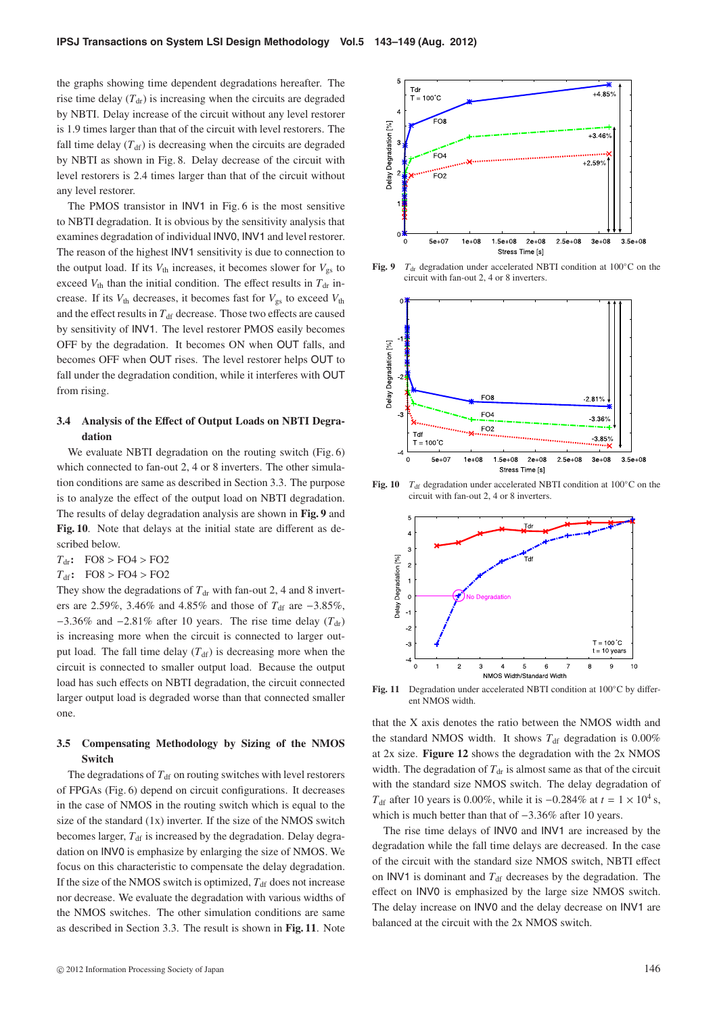the graphs showing time dependent degradations hereafter. The rise time delay  $(T<sub>dr</sub>)$  is increasing when the circuits are degraded by NBTI. Delay increase of the circuit without any level restorer is 1.9 times larger than that of the circuit with level restorers. The fall time delay  $(T<sub>df</sub>)$  is decreasing when the circuits are degraded by NBTI as shown in Fig. 8. Delay decrease of the circuit with level restorers is 2.4 times larger than that of the circuit without any level restorer.

The PMOS transistor in INV1 in Fig. 6 is the most sensitive to NBTI degradation. It is obvious by the sensitivity analysis that examines degradation of individual INV0, INV1 and level restorer. The reason of the highest INV1 sensitivity is due to connection to the output load. If its  $V_{\text{th}}$  increases, it becomes slower for  $V_{\text{gs}}$  to exceed  $V_{\text{th}}$  than the initial condition. The effect results in  $T_{\text{dr}}$  increase. If its  $V_{\text{th}}$  decreases, it becomes fast for  $V_{\text{gs}}$  to exceed  $V_{\text{th}}$ and the effect results in  $T_{\text{df}}$  decrease. Those two effects are caused by sensitivity of INV1. The level restorer PMOS easily becomes OFF by the degradation. It becomes ON when OUT falls, and becomes OFF when OUT rises. The level restorer helps OUT to fall under the degradation condition, while it interferes with OUT from rising.

#### **3.4 Analysis of the E**ff**ect of Output Loads on NBTI Degradation**

We evaluate NBTI degradation on the routing switch (Fig. 6) which connected to fan-out 2, 4 or 8 inverters. The other simulation conditions are same as described in Section 3.3. The purpose is to analyze the effect of the output load on NBTI degradation. The results of delay degradation analysis are shown in **Fig. 9** and **Fig. 10**. Note that delays at the initial state are different as described below.

*T*dr**:** FO8 > FO4 > FO2

*T*df**:** FO8 > FO4 > FO2

They show the degradations of  $T_{dr}$  with fan-out 2, 4 and 8 inverters are 2.59%, 3.46% and 4.85% and those of *T*<sub>df</sub> are −3.85%,  $-3.36\%$  and  $-2.81\%$  after 10 years. The rise time delay ( $T_{dr}$ ) is increasing more when the circuit is connected to larger output load. The fall time delay  $(T_{df})$  is decreasing more when the circuit is connected to smaller output load. Because the output load has such effects on NBTI degradation, the circuit connected larger output load is degraded worse than that connected smaller one.

## **3.5 Compensating Methodology by Sizing of the NMOS Switch**

The degradations of  $T<sub>df</sub>$  on routing switches with level restorers of FPGAs (Fig. 6) depend on circuit configurations. It decreases in the case of NMOS in the routing switch which is equal to the size of the standard  $(1x)$  inverter. If the size of the NMOS switch becomes larger,  $T_{df}$  is increased by the degradation. Delay degradation on INV0 is emphasize by enlarging the size of NMOS. We focus on this characteristic to compensate the delay degradation. If the size of the NMOS switch is optimized,  $T_{df}$  does not increase nor decrease. We evaluate the degradation with various widths of the NMOS switches. The other simulation conditions are same as described in Section 3.3. The result is shown in **Fig. 11**. Note



**Fig. 9**  $T_{dr}$  degradation under accelerated NBTI condition at 100 $°C$  on the circuit with fan-out 2, 4 or 8 inverters.



**Fig. 10**  $T_{df}$  degradation under accelerated NBTI condition at 100 $^{\circ}$ C on the circuit with fan-out 2, 4 or 8 inverters.



**Fig. 11** Degradation under accelerated NBTI condition at 100◦C by different NMOS width.

that the X axis denotes the ratio between the NMOS width and the standard NMOS width. It shows  $T_{df}$  degradation is  $0.00\%$ at 2x size. **Figure 12** shows the degradation with the 2x NMOS width. The degradation of  $T_{dr}$  is almost same as that of the circuit with the standard size NMOS switch. The delay degradation of *T*<sub>df</sub> after 10 years is 0.00%, while it is  $-0.284\%$  at  $t = 1 \times 10^4$  s, which is much better than that of −3.36% after 10 years.

The rise time delays of INV0 and INV1 are increased by the degradation while the fall time delays are decreased. In the case of the circuit with the standard size NMOS switch, NBTI effect on INV1 is dominant and  $T_{df}$  decreases by the degradation. The effect on INV0 is emphasized by the large size NMOS switch. The delay increase on INV0 and the delay decrease on INV1 are balanced at the circuit with the 2x NMOS switch.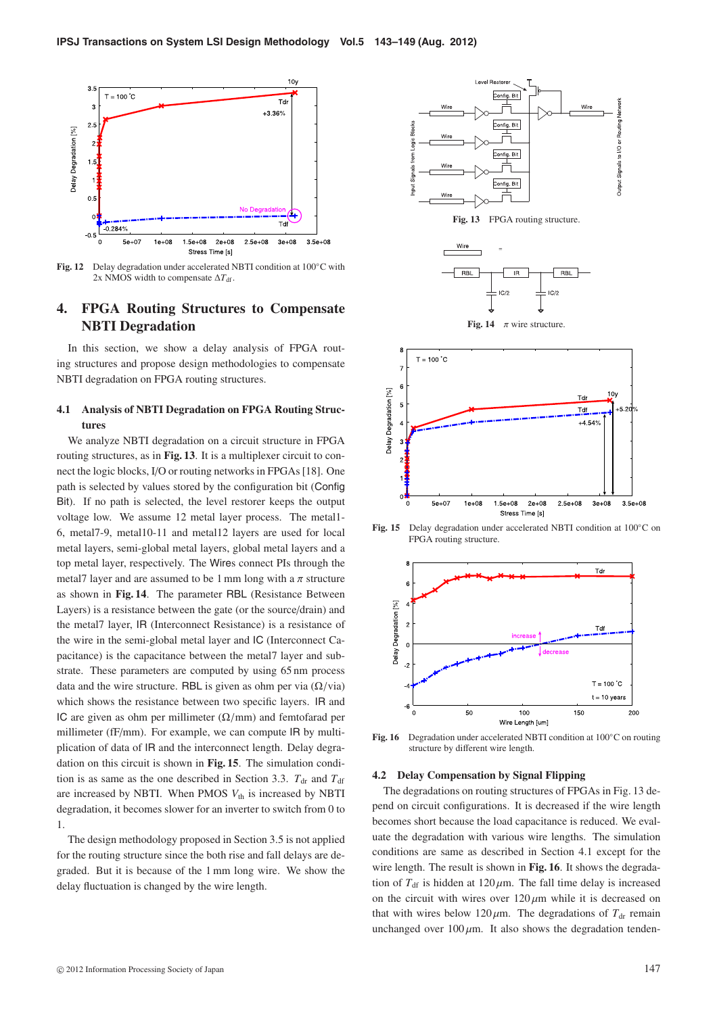

**Fig. 12** Delay degradation under accelerated NBTI condition at 100◦C with 2x NMOS width to compensate  $\Delta T_{\text{df}}$ .

# **4. FPGA Routing Structures to Compensate NBTI Degradation**

In this section, we show a delay analysis of FPGA routing structures and propose design methodologies to compensate NBTI degradation on FPGA routing structures.

## **4.1 Analysis of NBTI Degradation on FPGA Routing Structures**

We analyze NBTI degradation on a circuit structure in FPGA routing structures, as in **Fig. 13**. It is a multiplexer circuit to connect the logic blocks, I/O or routing networks in FPGAs [18]. One path is selected by values stored by the configuration bit (Config Bit). If no path is selected, the level restorer keeps the output voltage low. We assume 12 metal layer process. The metal1- 6, metal7-9, metal10-11 and metal12 layers are used for local metal layers, semi-global metal layers, global metal layers and a top metal layer, respectively. The Wires connect PIs through the metal7 layer and are assumed to be 1 mm long with a  $\pi$  structure as shown in **Fig. 14**. The parameter RBL (Resistance Between Layers) is a resistance between the gate (or the source/drain) and the metal7 layer, IR (Interconnect Resistance) is a resistance of the wire in the semi-global metal layer and IC (Interconnect Capacitance) is the capacitance between the metal7 layer and substrate. These parameters are computed by using 65 nm process data and the wire structure. RBL is given as ohm per via  $(\Omega/\text{via})$ which shows the resistance between two specific layers. IR and IC are given as ohm per millimeter  $(\Omega/mm)$  and femtofarad per millimeter (fF/mm). For example, we can compute IR by multiplication of data of IR and the interconnect length. Delay degradation on this circuit is shown in **Fig. 15**. The simulation condition is as same as the one described in Section 3.3.  $T_{dr}$  and  $T_{df}$ are increased by NBTI. When PMOS  $V_{th}$  is increased by NBTI degradation, it becomes slower for an inverter to switch from 0 to 1.

The design methodology proposed in Section 3.5 is not applied for the routing structure since the both rise and fall delays are degraded. But it is because of the 1 mm long wire. We show the delay fluctuation is changed by the wire length.





**Fig. 15** Delay degradation under accelerated NBTI condition at 100◦C on FPGA routing structure.



**Fig. 16** Degradation under accelerated NBTI condition at 100◦C on routing structure by different wire length.

#### **4.2 Delay Compensation by Signal Flipping**

The degradations on routing structures of FPGAs in Fig. 13 depend on circuit configurations. It is decreased if the wire length becomes short because the load capacitance is reduced. We evaluate the degradation with various wire lengths. The simulation conditions are same as described in Section 4.1 except for the wire length. The result is shown in **Fig. 16**. It shows the degradation of  $T_{df}$  is hidden at  $120 \mu m$ . The fall time delay is increased on the circuit with wires over  $120 \mu m$  while it is decreased on that with wires below  $120 \mu m$ . The degradations of  $T_{dr}$  remain unchanged over  $100 \mu m$ . It also shows the degradation tenden-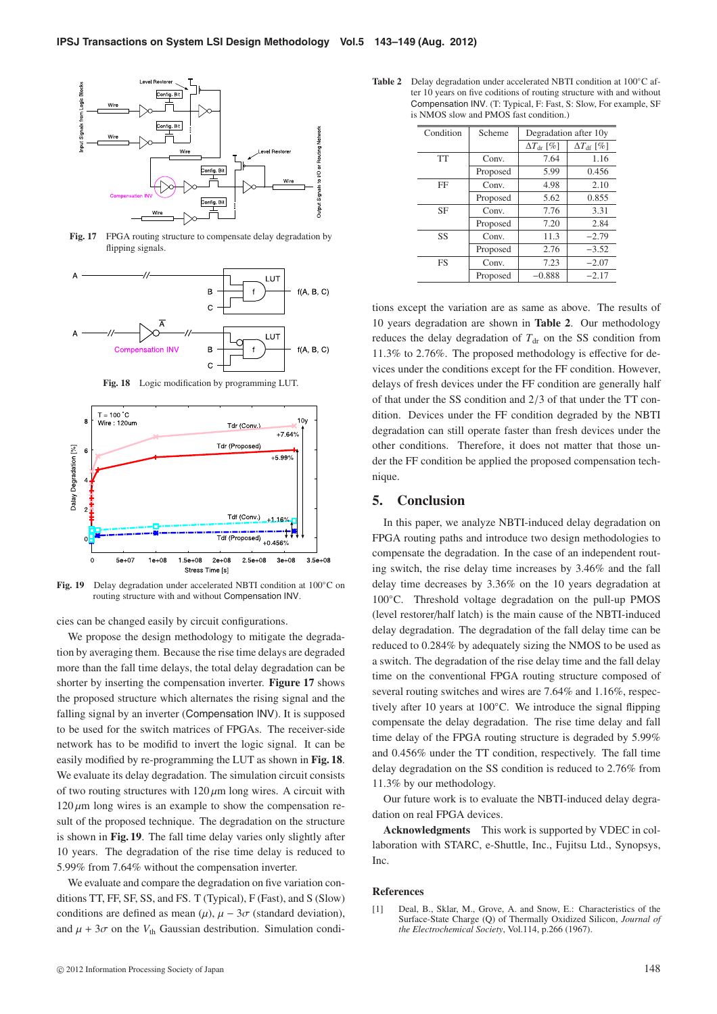

**Fig. 17** FPGA routing structure to compensate delay degradation by flipping signals.



**Fig. 18** Logic modification by programming LUT.



**Fig. 19** Delay degradation under accelerated NBTI condition at 100◦C on routing structure with and without Compensation INV.

cies can be changed easily by circuit configurations.

We propose the design methodology to mitigate the degradation by averaging them. Because the rise time delays are degraded more than the fall time delays, the total delay degradation can be shorter by inserting the compensation inverter. **Figure 17** shows the proposed structure which alternates the rising signal and the falling signal by an inverter (Compensation INV). It is supposed to be used for the switch matrices of FPGAs. The receiver-side network has to be modifid to invert the logic signal. It can be easily modified by re-programming the LUT as shown in **Fig. 18**. We evaluate its delay degradation. The simulation circuit consists of two routing structures with  $120 \mu m$  long wires. A circuit with  $120 \mu m$  long wires is an example to show the compensation result of the proposed technique. The degradation on the structure is shown in **Fig. 19**. The fall time delay varies only slightly after 10 years. The degradation of the rise time delay is reduced to 5.99% from 7.64% without the compensation inverter.

We evaluate and compare the degradation on five variation conditions TT, FF, SF, SS, and FS. T (Typical), F (Fast), and S (Slow) conditions are defined as mean  $(\mu)$ ,  $\mu - 3\sigma$  (standard deviation), and  $\mu + 3\sigma$  on the  $V_{th}$  Gaussian destribution. Simulation condi-

| <b>Table 2</b> Delay degradation under accelerated NBTI condition at $100^{\circ}$ C af- |  |  |
|------------------------------------------------------------------------------------------|--|--|
| ter 10 years on five coditions of routing structure with and without                     |  |  |
| Compensation INV. (T: Typical, F: Fast, S: Slow, For example, SF                         |  |  |
| is NMOS slow and PMOS fast condition.)                                                   |  |  |

| Condition | Scheme   | Degradation after 10y      |                         |
|-----------|----------|----------------------------|-------------------------|
|           |          | $\Delta T_{\text{dr}}$ [%] | $\Delta T_{\rm df}$ [%] |
| <b>TT</b> | Conv.    | 7.64                       | 1.16                    |
|           | Proposed | 5.99                       | 0.456                   |
| FF        | Conv.    | 4.98                       | 2.10                    |
|           | Proposed | 5.62                       | 0.855                   |
| SF        | Conv.    | 7.76                       | 3.31                    |
|           | Proposed | 7.20                       | 2.84                    |
| SS        | Conv.    | 11.3                       | $-2.79$                 |
|           | Proposed | 2.76                       | $-3.52$                 |
| FS        | Conv.    | 7.23                       | $-2.07$                 |
|           | Proposed | $-0.888$                   | $-2.17$                 |

tions except the variation are as same as above. The results of 10 years degradation are shown in **Table 2**. Our methodology reduces the delay degradation of  $T<sub>dr</sub>$  on the SS condition from 11.3% to 2.76%. The proposed methodology is effective for devices under the conditions except for the FF condition. However, delays of fresh devices under the FF condition are generally half of that under the SS condition and 2/3 of that under the TT condition. Devices under the FF condition degraded by the NBTI degradation can still operate faster than fresh devices under the other conditions. Therefore, it does not matter that those under the FF condition be applied the proposed compensation technique.

#### **5. Conclusion**

In this paper, we analyze NBTI-induced delay degradation on FPGA routing paths and introduce two design methodologies to compensate the degradation. In the case of an independent routing switch, the rise delay time increases by 3.46% and the fall delay time decreases by 3.36% on the 10 years degradation at 100◦C. Threshold voltage degradation on the pull-up PMOS (level restorer/half latch) is the main cause of the NBTI-induced delay degradation. The degradation of the fall delay time can be reduced to 0.284% by adequately sizing the NMOS to be used as a switch. The degradation of the rise delay time and the fall delay time on the conventional FPGA routing structure composed of several routing switches and wires are 7.64% and 1.16%, respectively after 10 years at 100◦C. We introduce the signal flipping compensate the delay degradation. The rise time delay and fall time delay of the FPGA routing structure is degraded by 5.99% and 0.456% under the TT condition, respectively. The fall time delay degradation on the SS condition is reduced to 2.76% from 11.3% by our methodology.

Our future work is to evaluate the NBTI-induced delay degradation on real FPGA devices.

**Acknowledgments** This work is supported by VDEC in collaboration with STARC, e-Shuttle, Inc., Fujitsu Ltd., Synopsys, Inc.

#### **References**

[1] Deal, B., Sklar, M., Grove, A. and Snow, E.: Characteristics of the Surface-State Charge (Q) of Thermally Oxidized Silicon, *Journal of the Electrochemical Society*, Vol.114, p.266 (1967).